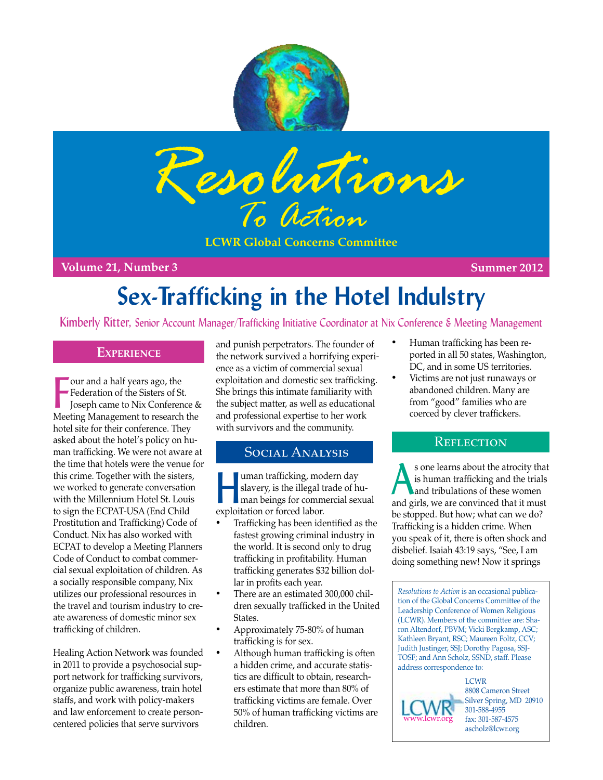



**LCWR Global Concerns Committee**

**Volume 21, Number 3 Summer 2012**

# **Sex-Trafficking in the Hotel Indulstry**

Kimberly Ritter, Senior Account Manager/Trafficking Initiative Coordinator at Nix Conference & Meeting Management

## **Experience**

Four and a half years ago, the<br>Federation of the Sisters of St.<br>Joseph came to Nix Conference &<br>Meeting Management to research the our and a half years ago, the Federation of the Sisters of St. Joseph came to Nix Conference & hotel site for their conference. They asked about the hotel's policy on human trafficking. We were not aware at the time that hotels were the venue for this crime. Together with the sisters, we worked to generate conversation with the Millennium Hotel St. Louis to sign the ECPAT-USA (End Child Prostitution and Trafficking) Code of Conduct. Nix has also worked with ECPAT to develop a Meeting Planners Code of Conduct to combat commercial sexual exploitation of children. As a socially responsible company, Nix utilizes our professional resources in the travel and tourism industry to create awareness of domestic minor sex trafficking of children.

Healing Action Network was founded in 2011 to provide a psychosocial support network for trafficking survivors, organize public awareness, train hotel staffs, and work with policy-makers and law enforcement to create personcentered policies that serve survivors

and punish perpetrators. The founder of the network survived a horrifying experience as a victim of commercial sexual exploitation and domestic sex trafficking. She brings this intimate familiarity with the subject matter, as well as educational and professional expertise to her work with survivors and the community.

## Social Analysis

uman trafficking, modern day<br>slavery, is the illegal trade of h<br>man beings for commercial sex slavery, is the illegal trade of human beings for commercial sexual exploitation or forced labor.

- Trafficking has been identified as the fastest growing criminal industry in the world. It is second only to drug trafficking in profitability. Human trafficking generates \$32 billion dollar in profits each year.
- There are an estimated 300,000 children sexually trafficked in the United States.
- Approximately 75-80% of human trafficking is for sex.
- Although human trafficking is often a hidden crime, and accurate statistics are difficult to obtain, researchers estimate that more than 80% of trafficking victims are female. Over 50% of human trafficking victims are children.
- Human trafficking has been reported in all 50 states, Washington, DC, and in some US territories.
- Victims are not just runaways or abandoned children. Many are from "good" families who are coerced by clever traffickers.

## **REFLECTION**

s one learns about the atrocity that<br>is human trafficking and the trials<br>and tribulations of these women is human trafficking and the trials and tribulations of these women and girls, we are convinced that it must be stopped. But how; what can we do? Trafficking is a hidden crime. When you speak of it, there is often shock and disbelief. Isaiah 43:19 says, "See, I am doing something new! Now it springs

*Resolutions to Action* is an occasional publication of the Global Concerns Committee of the Leadership Conference of Women Religious (LCWR). Members of the committee are: Sharon Altendorf, PBVM; Vicki Bergkamp, ASC; Kathleen Bryant, RSC; Maureen Foltz, CCV; Judith Justinger, SSJ; Dorothy Pagosa, SSJ-TOSF; and Ann Scholz, SSND, staff. Please address correspondence to:

**LCWR** 8808 Cameron Street Silver Spring, MD 20910 301-588-4955 fax: 301-587-4575 ascholz@lcwr.org [www.lcwr.org](http://www.lcwr.org)